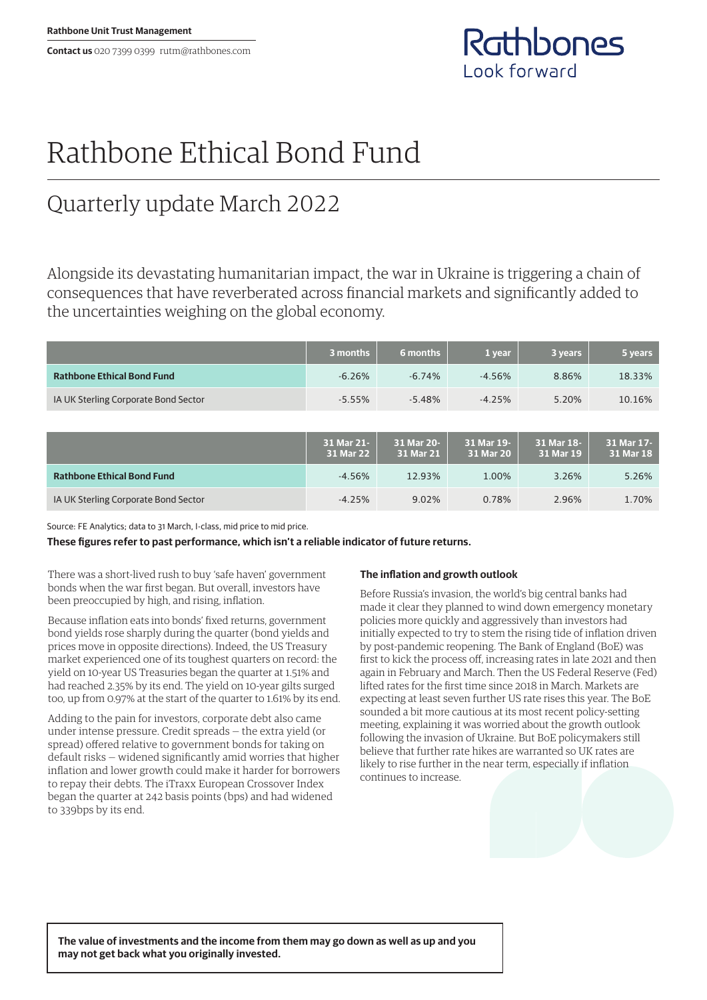**Contact us** 020 7399 0399 rutm@rathbones.com



# Rathbone Ethical Bond Fund

## Quarterly update March 2022

Alongside its devastating humanitarian impact, the war in Ukraine is triggering a chain of consequences that have reverberated across financial markets and significantly added to the uncertainties weighing on the global economy.

|                                      | 3 months                | 6 months                | 1 year                  | 3 years                 | 5 years                 |
|--------------------------------------|-------------------------|-------------------------|-------------------------|-------------------------|-------------------------|
| <b>Rathbone Ethical Bond Fund</b>    | $-6.26%$                | $-6.74%$                | $-4.56%$                | 8.86%                   | 18.33%                  |
| IA UK Sterling Corporate Bond Sector | $-5.55%$                | $-5.48%$                | $-4.25%$                | 5.20%                   | 10.16%                  |
|                                      |                         |                         |                         |                         |                         |
|                                      | 31 Mar 21-<br>31 Mar 22 | 31 Mar 20-<br>31 Mar 21 | 31 Mar 19-<br>31 Mar 20 | 31 Mar 18-<br>31 Mar 19 | 31 Mar 17-<br>31 Mar 18 |
| <b>Rathbone Ethical Bond Fund</b>    | $-4.56%$                | 12.93%                  | 1.00%                   | 3.26%                   | 5.26%                   |
| IA UK Sterling Corporate Bond Sector | $-4.25%$                | 9.02%                   | 0.78%                   | 2.96%                   | 1.70%                   |

Source: FE Analytics; data to 31 March, I-class, mid price to mid price.

**These figures refer to past performance, which isn't a reliable indicator of future returns.**

There was a short-lived rush to buy 'safe haven' government bonds when the war first began. But overall, investors have been preoccupied by high, and rising, inflation.

Because inflation eats into bonds' fixed returns, government bond yields rose sharply during the quarter (bond yields and prices move in opposite directions). Indeed, the US Treasury market experienced one of its toughest quarters on record: the yield on 10-year US Treasuries began the quarter at 1.51% and had reached 2.35% by its end. The yield on 10-year gilts surged too, up from 0.97% at the start of the quarter to 1.61% by its end.

Adding to the pain for investors, corporate debt also came under intense pressure. Credit spreads — the extra yield (or spread) offered relative to government bonds for taking on default risks — widened significantly amid worries that higher inflation and lower growth could make it harder for borrowers to repay their debts. The iTraxx European Crossover Index began the quarter at 242 basis points (bps) and had widened to 339bps by its end.

### **The inflation and growth outlook**

Before Russia's invasion, the world's big central banks had made it clear they planned to wind down emergency monetary policies more quickly and aggressively than investors had initially expected to try to stem the rising tide of inflation driven by post-pandemic reopening. The Bank of England (BoE) was first to kick the process off, increasing rates in late 2021 and then again in February and March. Then the US Federal Reserve (Fed) lifted rates for the first time since 2018 in March. Markets are expecting at least seven further US rate rises this year. The BoE sounded a bit more cautious at its most recent policy-setting meeting, explaining it was worried about the growth outlook following the invasion of Ukraine. But BoE policymakers still believe that further rate hikes are warranted so UK rates are likely to rise further in the near term, especially if inflation continues to increase.

**The value of investments and the income from them may go down as well as up and you may not get back what you originally invested.**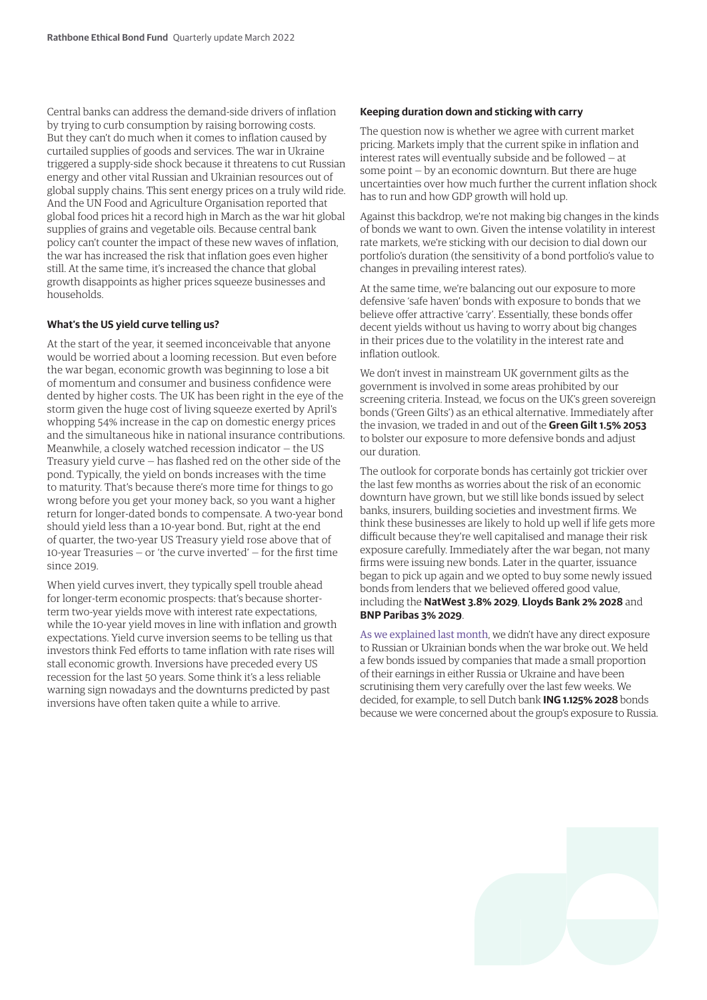Central banks can address the demand-side drivers of inflation by trying to curb consumption by raising borrowing costs. But they can't do much when it comes to inflation caused by curtailed supplies of goods and services. The war in Ukraine triggered a supply-side shock because it threatens to cut Russian energy and other vital Russian and Ukrainian resources out of global supply chains. This sent energy prices on a truly wild ride. And the UN Food and Agriculture Organisation reported that global food prices hit a record high in March as the war hit global supplies of grains and vegetable oils. Because central bank policy can't counter the impact of these new waves of inflation, the war has increased the risk that inflation goes even higher still. At the same time, it's increased the chance that global growth disappoints as higher prices squeeze businesses and households.

#### **What's the US yield curve telling us?**

At the start of the year, it seemed inconceivable that anyone would be worried about a looming recession. But even before the war began, economic growth was beginning to lose a bit of momentum and consumer and business confidence were dented by higher costs. The UK has been right in the eye of the storm given the huge cost of living squeeze exerted by April's whopping 54% increase in the cap on domestic energy prices and the simultaneous hike in national insurance contributions. Meanwhile, a closely watched recession indicator — the US Treasury yield curve — has flashed red on the other side of the pond. Typically, the yield on bonds increases with the time to maturity. That's because there's more time for things to go wrong before you get your money back, so you want a higher return for longer-dated bonds to compensate. A two-year bond should yield less than a 10-year bond. But, right at the end of quarter, the two-year US Treasury yield rose above that of 10-year Treasuries — or 'the curve inverted' — for the first time since 2019.

When yield curves invert, they typically spell trouble ahead for longer-term economic prospects: that's because shorterterm two-year yields move with interest rate expectations, while the 10-year yield moves in line with inflation and growth expectations. Yield curve inversion seems to be telling us that investors think Fed efforts to tame inflation with rate rises will stall economic growth. Inversions have preceded every US recession for the last 50 years. Some think it's a less reliable warning sign nowadays and the downturns predicted by past inversions have often taken quite a while to arrive.

#### **Keeping duration down and sticking with carry**

The question now is whether we agree with current market pricing. Markets imply that the current spike in inflation and interest rates will eventually subside and be followed — at some point — by an economic downturn. But there are huge uncertainties over how much further the current inflation shock has to run and how GDP growth will hold up.

Against this backdrop, we're not making big changes in the kinds of bonds we want to own. Given the intense volatility in interest rate markets, we're sticking with our decision to dial down our portfolio's duration (the sensitivity of a bond portfolio's value to changes in prevailing interest rates).

At the same time, we're balancing out our exposure to more defensive 'safe haven' bonds with exposure to bonds that we believe offer attractive 'carry'. Essentially, these bonds offer decent yields without us having to worry about big changes in their prices due to the volatility in the interest rate and inflation outlook.

We don't invest in mainstream UK government gilts as the government is involved in some areas prohibited by our screening criteria. Instead, we focus on the UK's green sovereign bonds ('Green Gilts') as an ethical alternative. Immediately after the invasion, we traded in and out of the **Green Gilt 1.5% 2053** to bolster our exposure to more defensive bonds and adjust our duration.

The outlook for corporate bonds has certainly got trickier over the last few months as worries about the risk of an economic downturn have grown, but we still like bonds issued by select banks, insurers, building societies and investment firms. We think these businesses are likely to hold up well if life gets more difficult because they're well capitalised and manage their risk exposure carefully. Immediately after the war began, not many firms were issuing new bonds. Later in the quarter, issuance began to pick up again and we opted to buy some newly issued bonds from lenders that we believed offered good value, including the **NatWest 3.8% 2029**, **Lloyds Bank 2% 2028** and **BNP Paribas 3% 2029**.

[As we explained last month](https://www.rathbonefunds.com/sites/rathbonefunds.com/files/literature-files/rathbone_ethical_bond_monthly_02-22.pdf), we didn't have any direct exposure to Russian or Ukrainian bonds when the war broke out. We held a few bonds issued by companies that made a small proportion of their earnings in either Russia or Ukraine and have been scrutinising them very carefully over the last few weeks. We decided, for example, to sell Dutch bank **ING 1.125% 2028** bonds because we were concerned about the group's exposure to Russia.